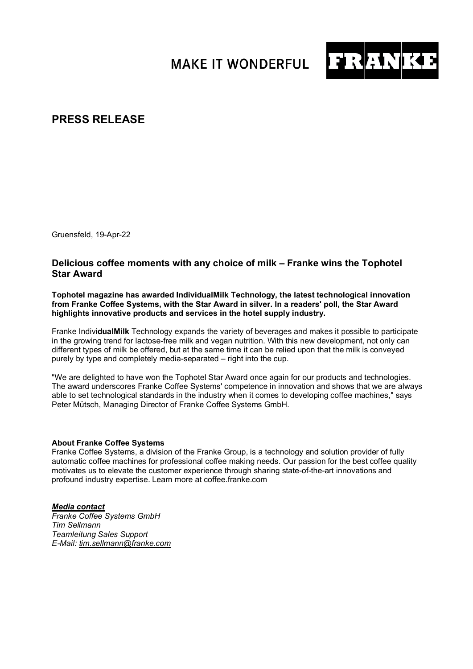**MAKE IT WONDERFUL** 



## **PRESS RELEASE**

Gruensfeld, 19-Apr-22

## **Delicious coffee moments with any choice of milk – Franke wins the Tophotel Star Award**

**Tophotel magazine has awarded IndividualMilk Technology, the latest technological innovation from Franke Coffee Systems, with the Star Award in silver. In a readers' poll, the Star Award highlights innovative products and services in the hotel supply industry.** 

Franke Indivi**dualMilk** Technology expands the variety of beverages and makes it possible to participate in the growing trend for lactose-free milk and vegan nutrition. With this new development, not only can different types of milk be offered, but at the same time it can be relied upon that the milk is conveyed purely by type and completely media-separated – right into the cup.

"We are delighted to have won the Tophotel Star Award once again for our products and technologies. The award underscores Franke Coffee Systems' competence in innovation and shows that we are always able to set technological standards in the industry when it comes to developing coffee machines," says Peter Mütsch, Managing Director of Franke Coffee Systems GmbH.

## **About Franke Coffee Systems**

Franke Coffee Systems, a division of the Franke Group, is a technology and solution provider of fully automatic coffee machines for professional coffee making needs. Our passion for the best coffee quality motivates us to elevate the customer experience through sharing state-of-the-art innovations and profound industry expertise. Learn more at coffee.franke.com

*Media contact Franke Coffee Systems GmbH Tim Sellmann Teamleitung Sales Support E-Mail: [tim.sellmann@franke.com](mailto:tim.sellmann@franke.com)*